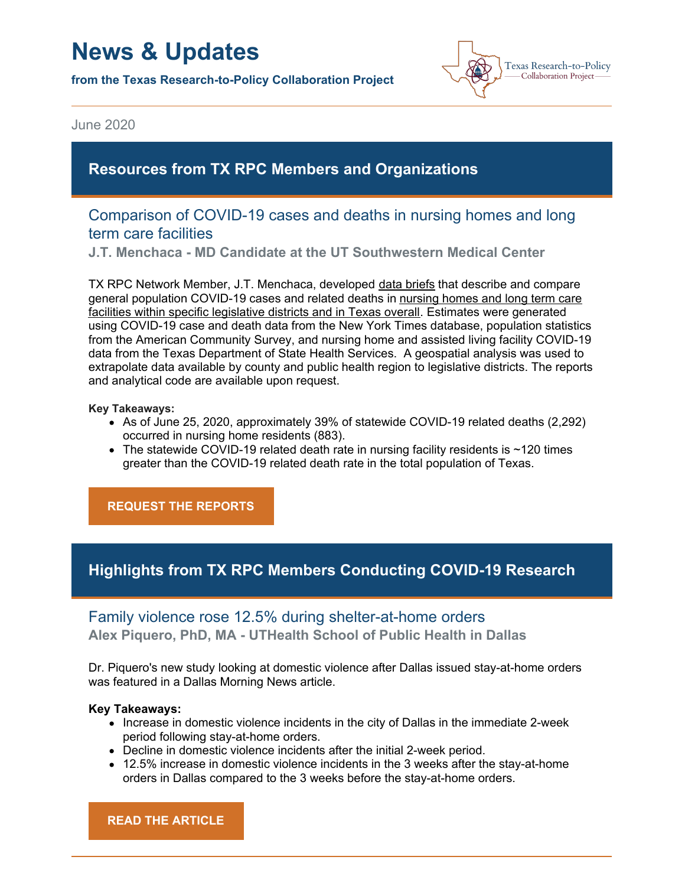# **News & Updates**

**from the Texas Research-to-Policy Collaboration Project**



June 2020

# **Resources from TX RPC Members and Organizations**

## Comparison of COVID-19 cases and deaths in nursing homes and long term care facilities

**J.T. Menchaca - MD Candidate at the UT Southwestern Medical Center**

TX RPC Network Member, J.T. Menchaca, developed data briefs that describe and compare general population COVID-19 cases and related deaths in nursing homes and long term care facilities within specific legislative districts and in Texas overall. Estimates were generated using COVID-19 case and death data from the New York Times database, population statistics from the American Community Survey, and nursing home and assisted living facility COVID-19 data from the Texas Department of State Health Services. A geospatial analysis was used to extrapolate data available by county and public health region to legislative districts. The reports and analytical code are available upon request.

#### **Key Takeaways:**

- As of June 25, 2020, approximately 39% of statewide COVID-19 related deaths (2,292) occurred in nursing home residents (883).
- $\bullet$  The statewide COVID-19 related death rate in nursing facility residents is  $\sim$ 120 times greater than the COVID-19 related death rate in the total population of Texas.

**REQUEST THE [REPORTS](mailto:texasrpcnetwork@uth.tmc.edu)**

# **Highlights from TX RPC Members Conducting COVID-19 Research**

# Family violence rose 12.5% during shelter-at-home orders **Alex Piquero, PhD, MA - UTHealth School of Public Health in Dallas**

Dr. Piquero's new study looking at domestic violence after Dallas issued stay-at-home orders was featured in a Dallas Morning News article.

### **Key Takeaways:**

- Increase in domestic violence incidents in the city of Dallas in the immediate 2-week period following stay-at-home orders.
- Decline in domestic violence incidents after the initial 2-week period.
- 12.5% increase in domestic violence incidents in the 3 weeks after the stay-at-home orders in Dallas compared to the 3 weeks before the stay-at-home orders.

**READ THE [ARTICLE](https://www.dallasnews.com/news/crime/2020/05/19/ut-dallas-study-finds-family-violence-increased-125-during-shelter-at-home-orders/)**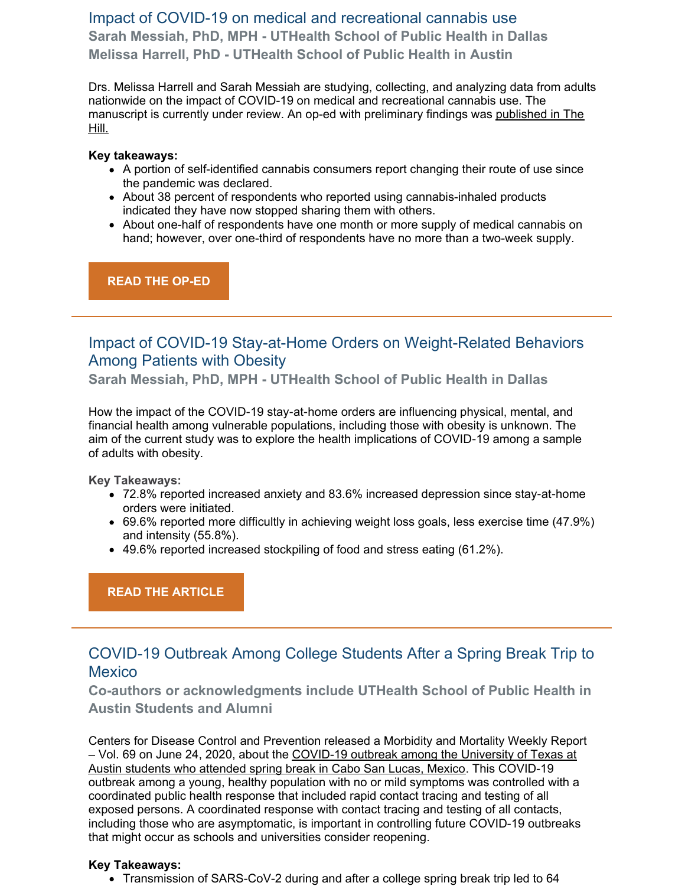# Impact of COVID-19 on medical and recreational cannabis use **Sarah Messiah, PhD, MPH - UTHealth School of Public Health in Dallas Melissa Harrell, PhD - UTHealth School of Public Health in Austin**

Drs. Melissa Harrell and Sarah Messiah are studying, collecting, and analyzing data from adults nationwide on the impact of COVID-19 on medical and recreational cannabis use. The [manuscript](https://thehill.com/opinion/healthcare/496842-what-weve-learned-since-the-declaration-of-the-pandemic) is currently under review. An op-ed with preliminary findings was published in The Hill.

## **Key takeaways:**

- A portion of self-identified cannabis consumers report changing their route of use since the pandemic was declared.
- About 38 percent of respondents who reported using cannabis-inhaled products indicated they have now stopped sharing them with others.
- About one-half of respondents have one month or more supply of medical cannabis on hand; however, over one-third of respondents have no more than a two-week supply.

**READ THE [OP-ED](https://thehill.com/opinion/healthcare/496842-what-weve-learned-since-the-declaration-of-the-pandemic)**

# Impact of COVID-19 Stay-at-Home Orders on Weight-Related Behaviors Among Patients with Obesity

**Sarah Messiah, PhD, MPH - UTHealth School of Public Health in Dallas**

How the impact of the COVID-19 stay-at-home orders are influencing physical, mental, and financial health among vulnerable populations, including those with obesity is unknown. The aim of the current study was to explore the health implications of COVID‐19 among a sample of adults with obesity.

**Key Takeaways:**

- 72.8% reported increased anxiety and 83.6% increased depression since stay‐at‐home orders were initiated.
- 69.6% reported more difficultly in achieving weight loss goals, less exercise time (47.9%) and intensity (55.8%).
- 49.6% reported increased stockpiling of food and stress eating (61.2%).

**READ THE [ARTICLE](https://onlinelibrary.wiley.com/doi/abs/10.1111/cob.12386)**

# COVID-19 Outbreak Among College Students After a Spring Break Trip to **Mexico**

**Co-authors or acknowledgments include UTHealth School of Public Health in Austin Students and Alumni**

Centers for Disease Control and Prevention released a Morbidity and Mortality Weekly Report – Vol. 69 on June 24, 2020, about the COVID-19 outbreak among the University of Texas at Austin students who attended spring break in Cabo San Lucas, Mexico. This COVID-19 outbreak among a young, healthy population with no or mild symptoms was controlled with a coordinated public health response that included rapid contact tracing and testing of all exposed persons. A coordinated response with contact tracing and testing of all contacts, including those who are asymptomatic, is important in controlling future COVID-19 outbreaks that might occur as schools and universities consider reopening.

## **Key Takeaways:**

• Transmission of SARS-CoV-2 during and after a college spring break trip led to 64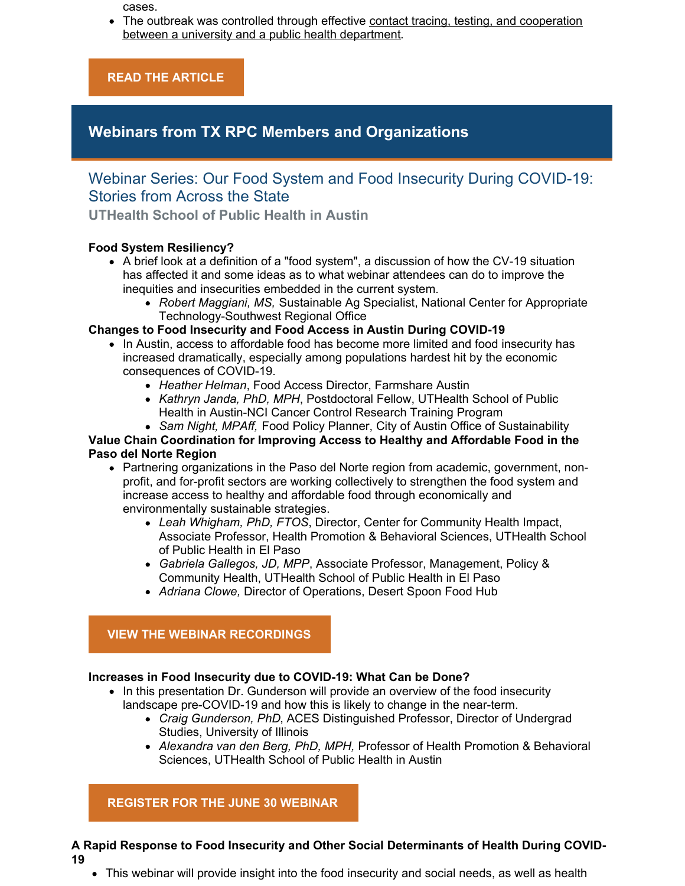cases.

• The outbreak was controlled through effective contact tracing, testing, and cooperation between a university and a public health department.

**READ THE [ARTICLE](https://www.cdc.gov/mmwr/volumes/69/wr/mm6926e1.htm?s_cid=mm6926e1_e&deliveryName=USCDC_921-DM31378)**

# **Webinars from TX RPC Members and Organizations**

# Webinar Series: Our Food System and Food Insecurity During COVID-19: Stories from Across the State

**UTHealth School of Public Health in Austin**

## **Food System Resiliency?**

- A brief look at a definition of a "food system", a discussion of how the CV-19 situation has affected it and some ideas as to what webinar attendees can do to improve the inequities and insecurities embedded in the current system.
	- *Robert Maggiani, MS,* Sustainable Ag Specialist, National Center for Appropriate Technology-Southwest Regional Office

## **Changes to Food Insecurity and Food Access in Austin During COVID-19**

- In Austin, access to affordable food has become more limited and food insecurity has increased dramatically, especially among populations hardest hit by the economic consequences of COVID-19.
	- *Heather Helman*, Food Access Director, Farmshare Austin
	- *Kathryn Janda, PhD, MPH*, Postdoctoral Fellow, UTHealth School of Public Health in Austin-NCI Cancer Control Research Training Program
	- *Sam Night, MPAff,* Food Policy Planner, City of Austin Office of Sustainability

#### **Value Chain Coordination for Improving Access to Healthy and Affordable Food in the Paso del Norte Region**

- Partnering organizations in the Paso del Norte region from academic, government, nonprofit, and for-profit sectors are working collectively to strengthen the food system and increase access to healthy and affordable food through economically and environmentally sustainable strategies.
	- *Leah Whigham, PhD, FTOS*, Director, Center for Community Health Impact, Associate Professor, Health Promotion & Behavioral Sciences, UTHealth School of Public Health in El Paso
	- *Gabriela Gallegos, JD, MPP*, Associate Professor, Management, Policy & Community Health, UTHealth School of Public Health in El Paso
	- *Adriana Clowe,* Director of Operations, Desert Spoon Food Hub

## **VIEW THE WEBINAR [RECORDINGS](https://sph.uth.edu/research/centers/dell/webinars/)**

## **Increases in Food Insecurity due to COVID-19: What Can be Done?**

- In this presentation Dr. Gunderson will provide an overview of the food insecurity landscape pre-COVID-19 and how this is likely to change in the near-term.
	- *Craig Gunderson, PhD*, ACES Distinguished Professor, Director of Undergrad Studies, University of Illinois
	- *Alexandra van den Berg, PhD, MPH,* Professor of Health Promotion & Behavioral Sciences, UTHealth School of Public Health in Austin

## **[REGISTER](https://register.gotowebinar.com/register/2756369405707518220) FOR THE JUNE 30 WEBINAR**

#### **A Rapid Response to Food Insecurity and Other Social Determinants of Health During COVID-19**

This webinar will provide insight into the food insecurity and social needs, as well as health